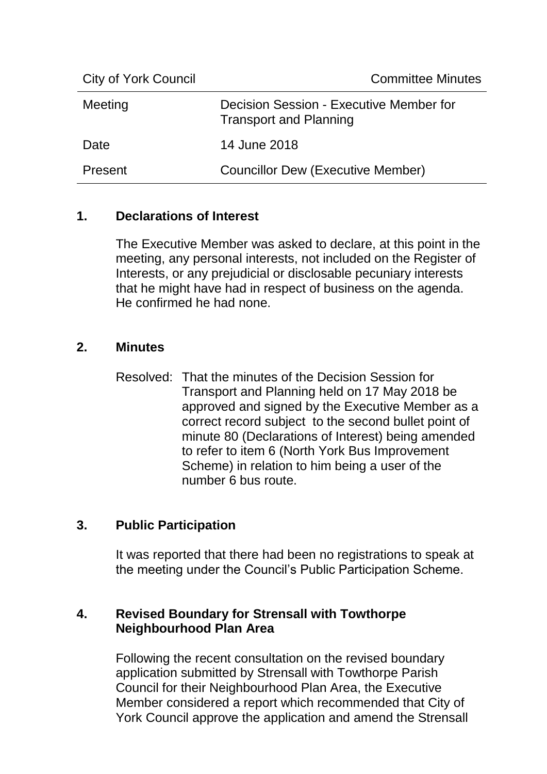| <b>City of York Council</b> | <b>Committee Minutes</b>                                                 |
|-----------------------------|--------------------------------------------------------------------------|
| Meeting                     | Decision Session - Executive Member for<br><b>Transport and Planning</b> |
| Date                        | 14 June 2018                                                             |
| Present                     | <b>Councillor Dew (Executive Member)</b>                                 |

## **1. Declarations of Interest**

The Executive Member was asked to declare, at this point in the meeting, any personal interests, not included on the Register of Interests, or any prejudicial or disclosable pecuniary interests that he might have had in respect of business on the agenda. He confirmed he had none.

## **2. Minutes**

Resolved: That the minutes of the Decision Session for Transport and Planning held on 17 May 2018 be approved and signed by the Executive Member as a correct record subject to the second bullet point of minute 80 (Declarations of Interest) being amended to refer to item 6 (North York Bus Improvement Scheme) in relation to him being a user of the number 6 bus route.

## **3. Public Participation**

It was reported that there had been no registrations to speak at the meeting under the Council's Public Participation Scheme.

## **4. Revised Boundary for Strensall with Towthorpe Neighbourhood Plan Area**

Following the recent consultation on the revised boundary application submitted by Strensall with Towthorpe Parish Council for their Neighbourhood Plan Area, the Executive Member considered a report which recommended that City of York Council approve the application and amend the Strensall